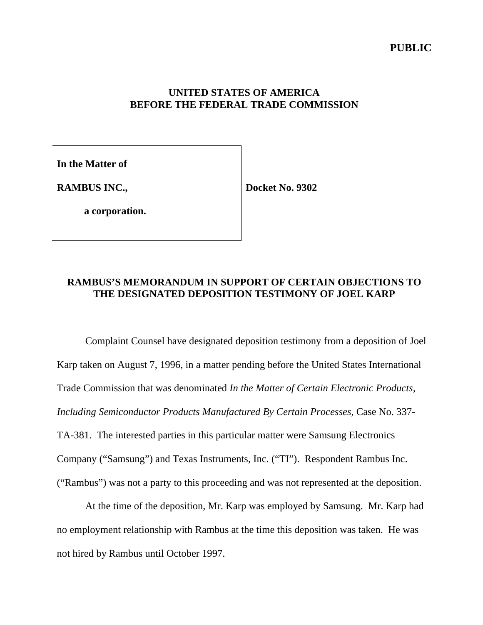## **UNITED STATES OF AMERICA BEFORE THE FEDERAL TRADE COMMISSION**

**In the Matter of**

**RAMBUS INC.,**

**Docket No. 9302**

**a corporation.**

# **RAMBUS'S MEMORANDUM IN SUPPORT OF CERTAIN OBJECTIONS TO THE DESIGNATED DEPOSITION TESTIMONY OF JOEL KARP**

Complaint Counsel have designated deposition testimony from a deposition of Joel Karp taken on August 7, 1996, in a matter pending before the United States International Trade Commission that was denominated *In the Matter of Certain Electronic Products, Including Semiconductor Products Manufactured By Certain Processes*, Case No. 337- TA-381. The interested parties in this particular matter were Samsung Electronics Company ("Samsung") and Texas Instruments, Inc. ("TI"). Respondent Rambus Inc. ("Rambus") was not a party to this proceeding and was not represented at the deposition.

At the time of the deposition, Mr. Karp was employed by Samsung. Mr. Karp had no employment relationship with Rambus at the time this deposition was taken. He was not hired by Rambus until October 1997.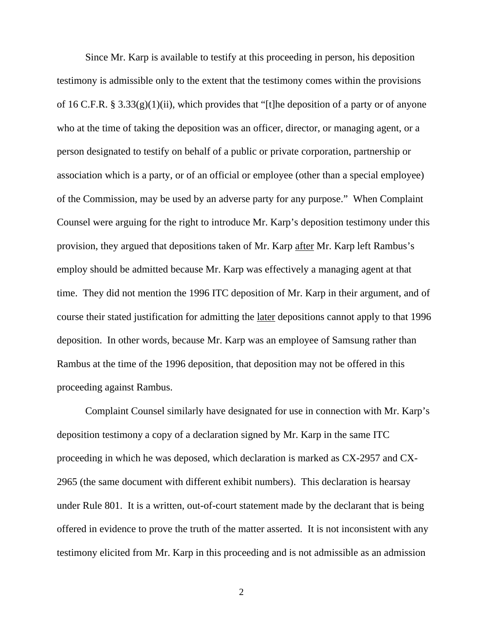Since Mr. Karp is available to testify at this proceeding in person, his deposition testimony is admissible only to the extent that the testimony comes within the provisions of 16 C.F.R. § 3.33(g)(1)(ii), which provides that "[t]he deposition of a party or of anyone who at the time of taking the deposition was an officer, director, or managing agent, or a person designated to testify on behalf of a public or private corporation, partnership or association which is a party, or of an official or employee (other than a special employee) of the Commission, may be used by an adverse party for any purpose." When Complaint Counsel were arguing for the right to introduce Mr. Karp's deposition testimony under this provision, they argued that depositions taken of Mr. Karp after Mr. Karp left Rambus's employ should be admitted because Mr. Karp was effectively a managing agent at that time. They did not mention the 1996 ITC deposition of Mr. Karp in their argument, and of course their stated justification for admitting the later depositions cannot apply to that 1996 deposition. In other words, because Mr. Karp was an employee of Samsung rather than Rambus at the time of the 1996 deposition, that deposition may not be offered in this proceeding against Rambus.

Complaint Counsel similarly have designated for use in connection with Mr. Karp's deposition testimony a copy of a declaration signed by Mr. Karp in the same ITC proceeding in which he was deposed, which declaration is marked as CX-2957 and CX-2965 (the same document with different exhibit numbers). This declaration is hearsay under Rule 801. It is a written, out-of-court statement made by the declarant that is being offered in evidence to prove the truth of the matter asserted. It is not inconsistent with any testimony elicited from Mr. Karp in this proceeding and is not admissible as an admission

2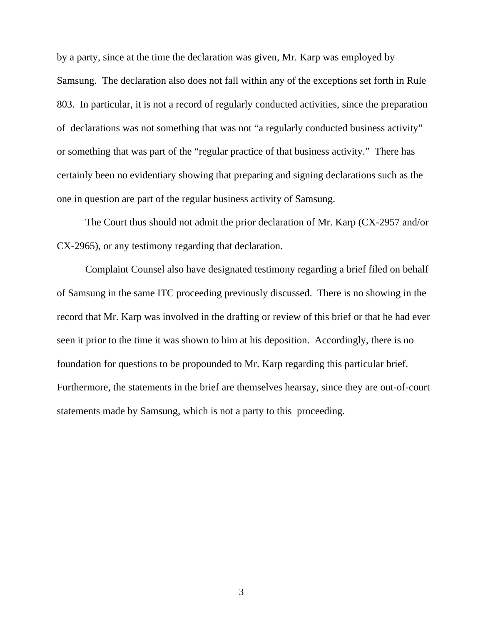by a party, since at the time the declaration was given, Mr. Karp was employed by Samsung. The declaration also does not fall within any of the exceptions set forth in Rule 803. In particular, it is not a record of regularly conducted activities, since the preparation of declarations was not something that was not "a regularly conducted business activity" or something that was part of the "regular practice of that business activity." There has certainly been no evidentiary showing that preparing and signing declarations such as the one in question are part of the regular business activity of Samsung.

The Court thus should not admit the prior declaration of Mr. Karp (CX-2957 and/or CX-2965), or any testimony regarding that declaration.

Complaint Counsel also have designated testimony regarding a brief filed on behalf of Samsung in the same ITC proceeding previously discussed. There is no showing in the record that Mr. Karp was involved in the drafting or review of this brief or that he had ever seen it prior to the time it was shown to him at his deposition. Accordingly, there is no foundation for questions to be propounded to Mr. Karp regarding this particular brief. Furthermore, the statements in the brief are themselves hearsay, since they are out-of-court statements made by Samsung, which is not a party to this proceeding.

3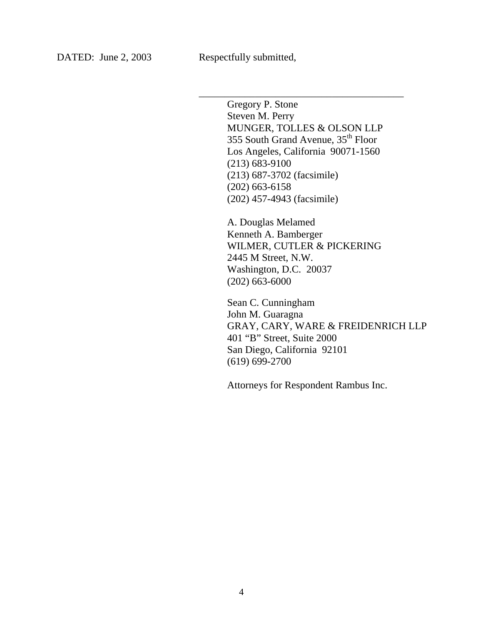Gregory P. Stone Steven M. Perry MUNGER, TOLLES & OLSON LLP 355 South Grand Avenue, 35<sup>th</sup> Floor Los Angeles, California 90071-1560 (213) 683-9100 (213) 687-3702 (facsimile) (202) 663-6158 (202) 457-4943 (facsimile)

\_\_\_\_\_\_\_\_\_\_\_\_\_\_\_\_\_\_\_\_\_\_\_\_\_\_\_\_\_\_\_\_\_\_\_\_\_\_\_\_

A. Douglas Melamed Kenneth A. Bamberger WILMER, CUTLER & PICKERING 2445 M Street, N.W. Washington, D.C. 20037 (202) 663-6000

Sean C. Cunningham John M. Guaragna GRAY, CARY, WARE & FREIDENRICH LLP 401 "B" Street, Suite 2000 San Diego, California 92101 (619) 699-2700

Attorneys for Respondent Rambus Inc.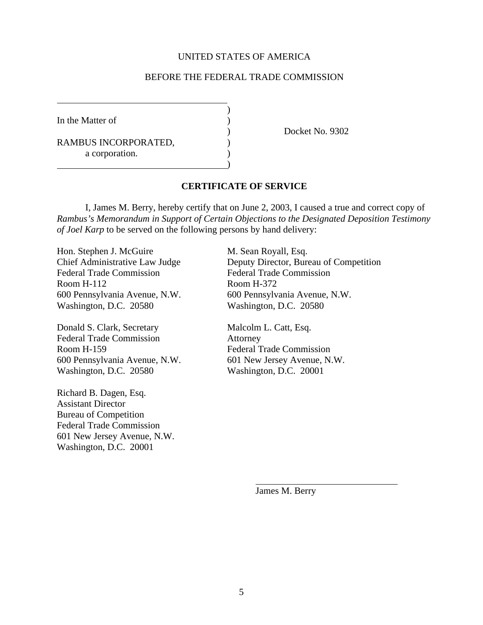### UNITED STATES OF AMERICA

### BEFORE THE FEDERAL TRADE COMMISSION

)

)

In the Matter of

RAMBUS INCORPORATED,  $($ a corporation.

) Docket No. 9302

#### **CERTIFICATE OF SERVICE**

I, James M. Berry, hereby certify that on June 2, 2003, I caused a true and correct copy of *Rambus's Memorandum in Support of Certain Objections to the Designated Deposition Testimony of Joel Karp* to be served on the following persons by hand delivery:

Hon. Stephen J. McGuire M. Sean Royall, Esq. Federal Trade Commission Federal Trade Commission Room H-112 Room H-372 Washington, D.C. 20580 Washington, D.C. 20580

Donald S. Clark, Secretary Malcolm L. Catt, Esq. Federal Trade Commission Attorney Room H-159 Federal Trade Commission 600 Pennsylvania Avenue, N.W. 601 New Jersey Avenue, N.W. Washington, D.C. 20580 Washington, D.C. 20001

Richard B. Dagen, Esq. Assistant Director Bureau of Competition Federal Trade Commission 601 New Jersey Avenue, N.W. Washington, D.C. 20001

Chief Administrative Law Judge Deputy Director, Bureau of Competition 600 Pennsylvania Avenue, N.W. 600 Pennsylvania Avenue, N.W.

James M. Berry